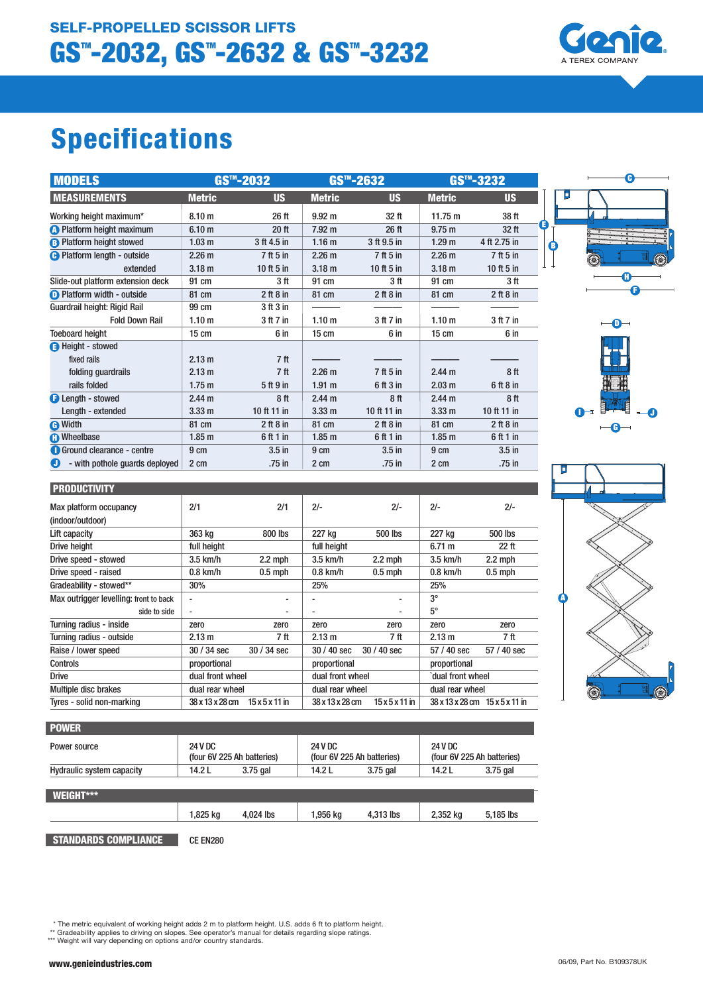# Specifications

| <b>MODELS</b>                       | GS™-2032          |                                 | GS <sup>™</sup> -2632 |                  | GS™-3232          |                   |
|-------------------------------------|-------------------|---------------------------------|-----------------------|------------------|-------------------|-------------------|
| <b>MEASUREMENTS</b>                 | <b>Metric</b>     | <b>US</b>                       | <b>Metric</b>         | <b>US</b>        | <b>Metric</b>     | <b>US</b>         |
| Working height maximum*             | 8.10 <sub>m</sub> | 26 ft                           | 9.92 <sub>m</sub>     | 32 <sub>ft</sub> | 11.75 m           | 38 ft             |
| <b>A</b> Platform height maximum    | 6.10 <sub>m</sub> | 20 ft                           | 7.92 <sub>m</sub>     | 26 <sub>ft</sub> | 9.75 m            | 32 <sub>ft</sub>  |
| <b>B</b> Platform height stowed     | 1.03 <sub>m</sub> | 3 ft 4.5 in                     | 1.16 <sub>m</sub>     | 3 ft 9.5 in      | 1.29 <sub>m</sub> | 4 ft 2.75 in      |
| <b>B</b> Platform length - outside  | 2.26 <sub>m</sub> | 7 ft 5 in                       | 2.26 <sub>m</sub>     | 7 ft 5 in        | 2.26 <sub>m</sub> | 7 ft 5 in         |
| extended                            | 3.18 <sub>m</sub> | 10 ft $5$ in                    | 3.18 <sub>m</sub>     | 10 ft $5$ in     | 3.18 <sub>m</sub> | 10 ft $5$ in      |
| Slide-out platform extension deck   | 91 cm             | 3 ft                            | 91 cm                 | 3 ft             | 91 cm             | 3 ft              |
| <b>O</b> Platform width - outside   | 81 cm             | 2 ft 8 in                       | 81 cm                 | 2 ft 8 in        | 81 cm             | $2$ ft $8$ in     |
| Guardrail height: Rigid Rail        | 99 cm             | 3 <sup>ft</sup> 3 <sup>in</sup> |                       |                  |                   |                   |
| <b>Fold Down Rail</b>               | 1.10 <sub>m</sub> | 3 ft 7 in                       | 1.10 <sub>m</sub>     | 3 ft 7 in        | 1.10 <sub>m</sub> | 3 ft 7 in         |
| <b>Toeboard height</b>              | $15 \text{ cm}$   | 6 in                            | $15 \text{ cm}$       | 6 in             | $15 \text{ cm}$   | 6 in              |
| <b>B</b> Height - stowed            |                   |                                 |                       |                  |                   |                   |
| fixed rails                         | 2.13 m            | 7 ft                            |                       |                  |                   |                   |
| folding guardrails                  | 2.13 m            | 7 <sup>ft</sup>                 | 2.26 <sub>m</sub>     | 7 ft 5 in        | 2.44 m            | 8ft               |
| rails folded                        | 1.75 <sub>m</sub> | 5 ft 9 in                       | 1.91 m                | 6 ft 3 in        | 2.03 m            | 6 ft 8 in         |
| <b>B</b> Length - stowed            | 2.44 m            | 8ft                             | 2.44 <sub>m</sub>     | 8ft              | 2.44 <sub>m</sub> | 8ft               |
| Length - extended                   | 3.33 <sub>m</sub> | 10 ft 11 in                     | 3.33 <sub>m</sub>     | 10 ft 11 in      | 3.33 <sub>m</sub> | 10 ft 11 in       |
| <b>O</b> Width                      | 81 cm             | 2 ft 8 in                       | 81 cm                 | 2 ft 8 in        | 81 cm             | 2 ft 8 in         |
| <b>C</b> Wheelbase                  | $1.85$ m          | 6 ft 1 in                       | 1.85 <sub>m</sub>     | 6 ft 1 in        | 1.85 <sub>m</sub> | 6 ft 1 in         |
| <b>O</b> Ground clearance - centre  | 9 cm              | $3.5$ in                        | 9 cm                  | $3.5$ in         | 9 cm              | 3.5 <sub>in</sub> |
| - with pothole quards deployed<br>O | 2 cm              | .75 in                          | 2 cm                  | .75 in           | 2 cm              | .75 in            |





D

 $-\theta$ 

 $\bullet$ 

B

F H

 $\bullet$ 

C

| <b>POWER</b>                     |                                       |           |                                              |           |                                       |           |
|----------------------------------|---------------------------------------|-----------|----------------------------------------------|-----------|---------------------------------------|-----------|
| Power source                     | 24 V DC<br>(four 6V 225 Ah batteries) |           | <b>24 V DC</b><br>(four 6V 225 Ah batteries) |           | 24 V DC<br>(four 6V 225 Ah batteries) |           |
| <b>Hydraulic system capacity</b> | 14.2 L                                | 3.75 gal  | 14.2 L                                       | 3.75 gal  | 14.2 L                                | 3.75 gal  |
| WEIGHT***                        |                                       |           |                                              |           |                                       |           |
|                                  | 1,825 kg                              | 4,024 lbs | 1,956 kg                                     | 4,313 lbs | 2,352 kg                              | 5,185 lbs |
| <b>STANDARDS COMPLIANCE</b>      | CE EN280                              |           |                                              |           |                                       |           |

\* The metric equivalent of working height adds 2 m to platform height. U.S. adds 6 ft to platform height.

\*\* Gradeability applies to driving on slopes. See operator's manual for details regarding slope ratings. \*\*\* Weight will vary depending on options and/or country standards.